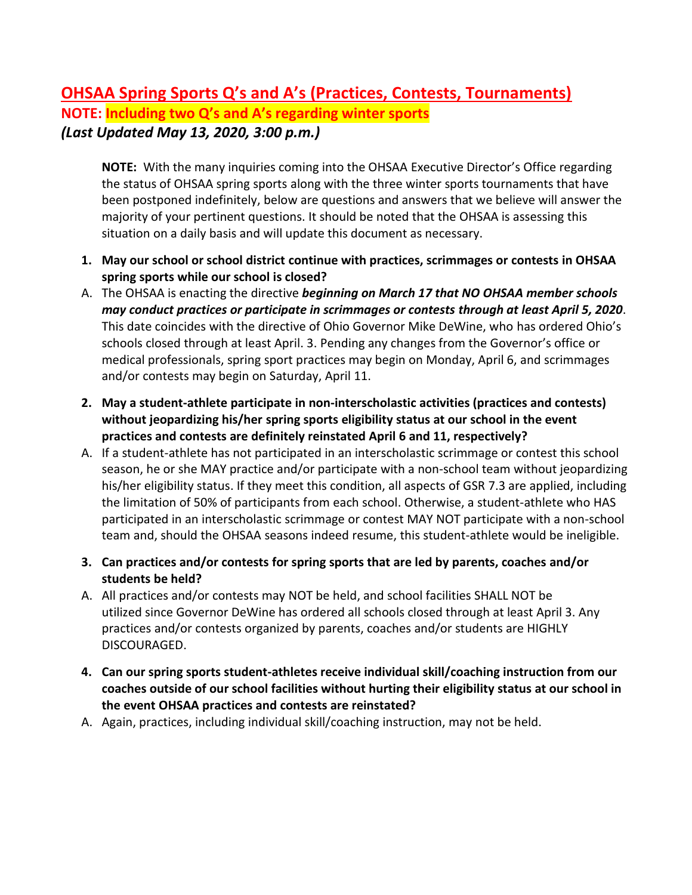## **OHSAA Spring Sports Q's and A's (Practices, Contests, Tournaments) NOTE: Including two Q's and A's regarding winter sports** *(Last Updated May 13, 2020, 3:00 p.m.)*

**NOTE:** With the many inquiries coming into the OHSAA Executive Director's Office regarding the status of OHSAA spring sports along with the three winter sports tournaments that have been postponed indefinitely, below are questions and answers that we believe will answer the majority of your pertinent questions. It should be noted that the OHSAA is assessing this situation on a daily basis and will update this document as necessary.

- **1. May our school or school district continue with practices, scrimmages or contests in OHSAA spring sports while our school is closed?**
- A. The OHSAA is enacting the directive *beginning on March 17 that NO OHSAA member schools may conduct practices or participate in scrimmages or contests through at least April 5, 2020*. This date coincides with the directive of Ohio Governor Mike DeWine, who has ordered Ohio's schools closed through at least April. 3. Pending any changes from the Governor's office or medical professionals, spring sport practices may begin on Monday, April 6, and scrimmages and/or contests may begin on Saturday, April 11.
- **2. May a student-athlete participate in non-interscholastic activities (practices and contests) without jeopardizing his/her spring sports eligibility status at our school in the event practices and contests are definitely reinstated April 6 and 11, respectively?**
- A. If a student-athlete has not participated in an interscholastic scrimmage or contest this school season, he or she MAY practice and/or participate with a non-school team without jeopardizing his/her eligibility status. If they meet this condition, all aspects of GSR 7.3 are applied, including the limitation of 50% of participants from each school. Otherwise, a student-athlete who HAS participated in an interscholastic scrimmage or contest MAY NOT participate with a non-school team and, should the OHSAA seasons indeed resume, this student-athlete would be ineligible.
- **3. Can practices and/or contests for spring sports that are led by parents, coaches and/or students be held?**
- A. All practices and/or contests may NOT be held, and school facilities SHALL NOT be utilized since Governor DeWine has ordered all schools closed through at least April 3. Any practices and/or contests organized by parents, coaches and/or students are HIGHLY DISCOURAGED.
- **4. Can our spring sports student-athletes receive individual skill/coaching instruction from our coaches outside of our school facilities without hurting their eligibility status at our school in the event OHSAA practices and contests are reinstated?**
- A. Again, practices, including individual skill/coaching instruction, may not be held.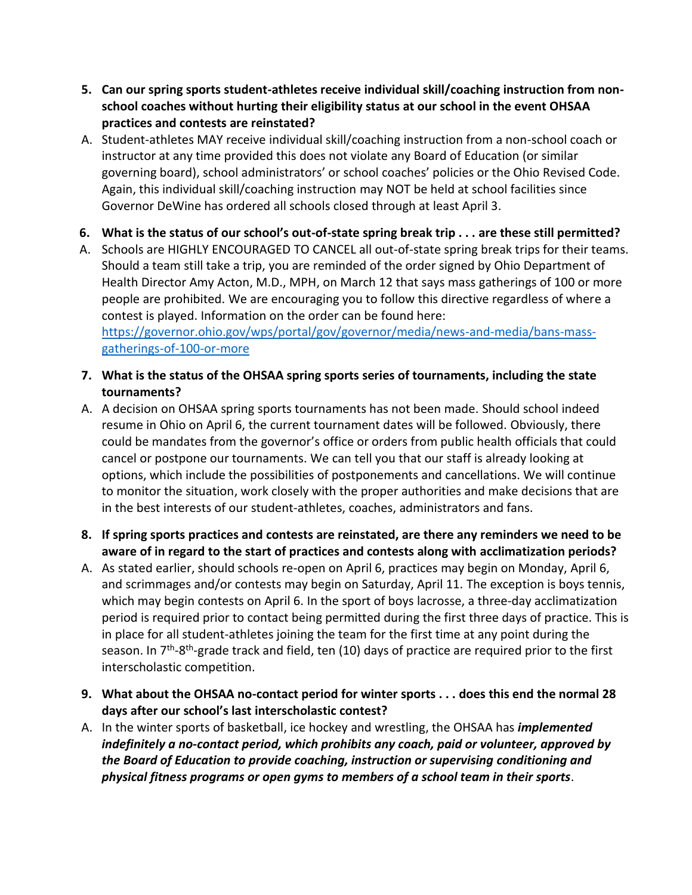- **5. Can our spring sports student-athletes receive individual skill/coaching instruction from nonschool coaches without hurting their eligibility status at our school in the event OHSAA practices and contests are reinstated?**
- A. Student-athletes MAY receive individual skill/coaching instruction from a non-school coach or instructor at any time provided this does not violate any Board of Education (or similar governing board), school administrators' or school coaches' policies or the Ohio Revised Code. Again, this individual skill/coaching instruction may NOT be held at school facilities since Governor DeWine has ordered all schools closed through at least April 3.
- **6. What is the status of our school's out-of-state spring break trip . . . are these still permitted?**
- A. Schools are HIGHLY ENCOURAGED TO CANCEL all out-of-state spring break trips for their teams. Should a team still take a trip, you are reminded of the order signed by Ohio Department of Health Director Amy Acton, M.D., MPH, on March 12 that says mass gatherings of 100 or more people are prohibited. We are encouraging you to follow this directive regardless of where a contest is played. Information on the order can be found here: [https://governor.ohio.gov/wps/portal/gov/governor/media/news-and-media/bans-mass-](https://governor.ohio.gov/wps/portal/gov/governor/media/news-and-media/bans-mass-gatherings-of-100-or-more)

[gatherings-of-100-or-more](https://governor.ohio.gov/wps/portal/gov/governor/media/news-and-media/bans-mass-gatherings-of-100-or-more)

- **7. What is the status of the OHSAA spring sports series of tournaments, including the state tournaments?**
- A. A decision on OHSAA spring sports tournaments has not been made. Should school indeed resume in Ohio on April 6, the current tournament dates will be followed. Obviously, there could be mandates from the governor's office or orders from public health officials that could cancel or postpone our tournaments. We can tell you that our staff is already looking at options, which include the possibilities of postponements and cancellations. We will continue to monitor the situation, work closely with the proper authorities and make decisions that are in the best interests of our student-athletes, coaches, administrators and fans.
- **8. If spring sports practices and contests are reinstated, are there any reminders we need to be aware of in regard to the start of practices and contests along with acclimatization periods?**
- A. As stated earlier, should schools re-open on April 6, practices may begin on Monday, April 6, and scrimmages and/or contests may begin on Saturday, April 11. The exception is boys tennis, which may begin contests on April 6. In the sport of boys lacrosse, a three-day acclimatization period is required prior to contact being permitted during the first three days of practice. This is in place for all student-athletes joining the team for the first time at any point during the season. In 7<sup>th</sup>-8<sup>th</sup>-grade track and field, ten (10) days of practice are required prior to the first interscholastic competition.
- **9. What about the OHSAA no-contact period for winter sports . . . does this end the normal 28 days after our school's last interscholastic contest?**
- A. In the winter sports of basketball, ice hockey and wrestling, the OHSAA has *implemented indefinitely a no-contact period, which prohibits any coach, paid or volunteer, approved by the Board of Education to provide coaching, instruction or supervising conditioning and physical fitness programs or open gyms to members of a school team in their sports*.